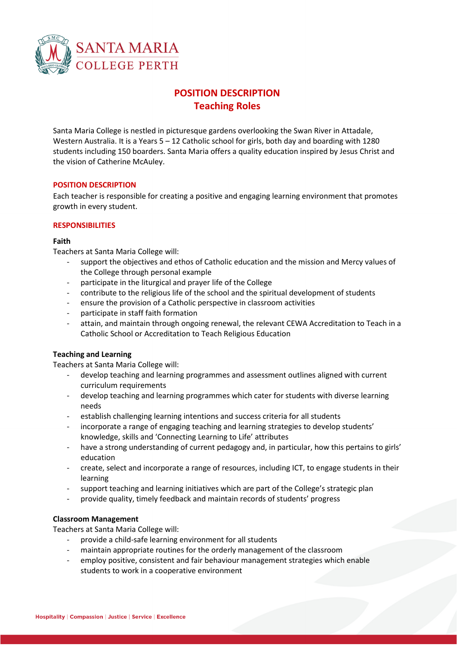

# **POSITION DESCRIPTION Teaching Roles**

Santa Maria College is nestled in picturesque gardens overlooking the Swan River in Attadale, Western Australia. It is a Years 5 – 12 Catholic school for girls, both day and boarding with 1280 students including 150 boarders. Santa Maria offers a quality education inspired by Jesus Christ and the vision of Catherine McAuley.

## **POSITION DESCRIPTION**

Each teacher is responsible for creating a positive and engaging learning environment that promotes growth in every student.

## **RESPONSIBILITIES**

## **Faith**

Teachers at Santa Maria College will:

- support the objectives and ethos of Catholic education and the mission and Mercy values of the College through personal example
- participate in the liturgical and prayer life of the College
- contribute to the religious life of the school and the spiritual development of students
- ensure the provision of a Catholic perspective in classroom activities
- participate in staff faith formation
- attain, and maintain through ongoing renewal, the relevant CEWA Accreditation to Teach in a Catholic School or Accreditation to Teach Religious Education

## **Teaching and Learning**

Teachers at Santa Maria College will:

- develop teaching and learning programmes and assessment outlines aligned with current curriculum requirements
- develop teaching and learning programmes which cater for students with diverse learning needs
- establish challenging learning intentions and success criteria for all students
- incorporate a range of engaging teaching and learning strategies to develop students' knowledge, skills and 'Connecting Learning to Life' attributes
- have a strong understanding of current pedagogy and, in particular, how this pertains to girls' education
- create, select and incorporate a range of resources, including ICT, to engage students in their learning
- support teaching and learning initiatives which are part of the College's strategic plan
- provide quality, timely feedback and maintain records of students' progress

## **Classroom Management**

Teachers at Santa Maria College will:

- provide a child-safe learning environment for all students
- maintain appropriate routines for the orderly management of the classroom
- employ positive, consistent and fair behaviour management strategies which enable students to work in a cooperative environment